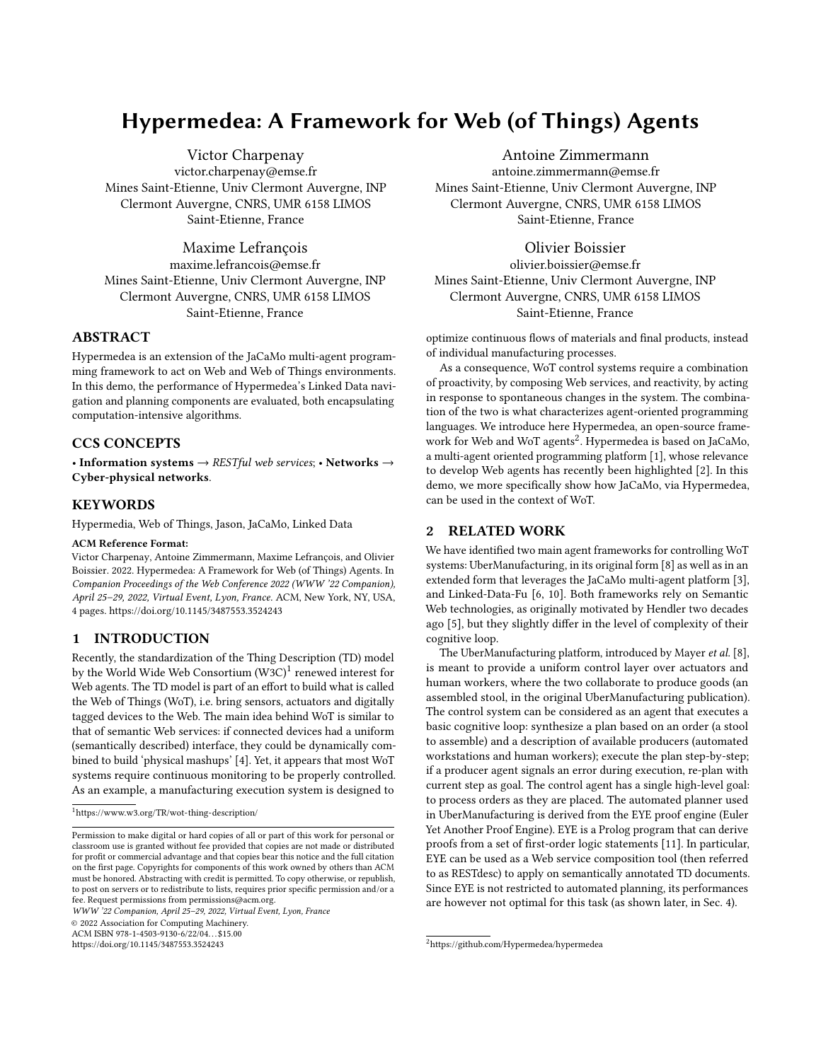# Hypermedea: A Framework for Web (of Things) Agents

[Victor Charpenay](https://orcid.org/0000-0002-9210-1583) victor.charpenay@emse.fr Mines Saint-Etienne, Univ Clermont Auvergne, INP Clermont Auvergne, CNRS, UMR 6158 LIMOS Saint-Etienne, France

[Maxime Lefrançois](https://orcid.org/0000-0001-9814-8991)

maxime.lefrancois@emse.fr Mines Saint-Etienne, Univ Clermont Auvergne, INP Clermont Auvergne, CNRS, UMR 6158 LIMOS Saint-Etienne, France

# ABSTRACT

Hypermedea is an extension of the JaCaMo multi-agent programming framework to act on Web and Web of Things environments. In this demo, the performance of Hypermedea's Linked Data navigation and planning components are evaluated, both encapsulating computation-intensive algorithms.

# CCS CONCEPTS

• Information systems  $\rightarrow$  RESTful web services; • Networks  $\rightarrow$ Cyber-physical networks.

# KEYWORDS

Hypermedia, Web of Things, Jason, JaCaMo, Linked Data

#### ACM Reference Format:

Victor Charpenay, Antoine Zimmermann, Maxime Lefrançois, and Olivier Boissier. 2022. Hypermedea: A Framework for Web (of Things) Agents. In Companion Proceedings of the Web Conference 2022 (WWW '22 Companion), April 25–29, 2022, Virtual Event, Lyon, France. ACM, New York, NY, USA, [4](#page-3-0) pages.<https://doi.org/10.1145/3487553.3524243>

# 1 INTRODUCTION

Recently, the standardization of the Thing Description (TD) model by the World Wide Web Consortium (W3C) $^1$  $^1$  renewed interest for Web agents. The TD model is part of an effort to build what is called the Web of Things (WoT), i.e. bring sensors, actuators and digitally tagged devices to the Web. The main idea behind WoT is similar to that of semantic Web services: if connected devices had a uniform (semantically described) interface, they could be dynamically combined to build 'physical mashups' [\[4\]](#page-3-1). Yet, it appears that most WoT systems require continuous monitoring to be properly controlled. As an example, a manufacturing execution system is designed to

<span id="page-0-0"></span> $^1$  <https://www.w3.org/TR/wot-thing-description/>  $\,$ 

WWW '22 Companion, April 25–29, 2022, Virtual Event, Lyon, France

© 2022 Association for Computing Machinery.

ACM ISBN 978-1-4503-9130-6/22/04. . . \$15.00 <https://doi.org/10.1145/3487553.3524243>

[Antoine Zimmermann](https://orcid.org/0000-0003-1502-6986)

antoine.zimmermann@emse.fr Mines Saint-Etienne, Univ Clermont Auvergne, INP Clermont Auvergne, CNRS, UMR 6158 LIMOS Saint-Etienne, France

# [Olivier Boissier](https://orcid.org/0000-0002-2956-0533)

olivier.boissier@emse.fr Mines Saint-Etienne, Univ Clermont Auvergne, INP Clermont Auvergne, CNRS, UMR 6158 LIMOS Saint-Etienne, France

optimize continuous flows of materials and final products, instead of individual manufacturing processes.

As a consequence, WoT control systems require a combination of proactivity, by composing Web services, and reactivity, by acting in response to spontaneous changes in the system. The combination of the two is what characterizes agent-oriented programming languages. We introduce here Hypermedea, an open-source frame-work for Web and WoT agents<sup>[2](#page-0-1)</sup>. Hypermedea is based on JaCaMo, a multi-agent oriented programming platform [\[1\]](#page-3-2), whose relevance to develop Web agents has recently been highlighted [\[2\]](#page-3-3). In this demo, we more specifically show how JaCaMo, via Hypermedea, can be used in the context of WoT.

# 2 RELATED WORK

We have identified two main agent frameworks for controlling WoT systems: UberManufacturing, in its original form [\[8\]](#page-3-4) as well as in an extended form that leverages the JaCaMo multi-agent platform [\[3\]](#page-3-5), and Linked-Data-Fu [\[6,](#page-3-6) [10\]](#page-3-7). Both frameworks rely on Semantic Web technologies, as originally motivated by Hendler two decades ago [\[5\]](#page-3-8), but they slightly differ in the level of complexity of their cognitive loop.

The UberManufacturing platform, introduced by Mayer et al. [\[8\]](#page-3-4), is meant to provide a uniform control layer over actuators and human workers, where the two collaborate to produce goods (an assembled stool, in the original UberManufacturing publication). The control system can be considered as an agent that executes a basic cognitive loop: synthesize a plan based on an order (a stool to assemble) and a description of available producers (automated workstations and human workers); execute the plan step-by-step; if a producer agent signals an error during execution, re-plan with current step as goal. The control agent has a single high-level goal: to process orders as they are placed. The automated planner used in UberManufacturing is derived from the EYE proof engine (Euler Yet Another Proof Engine). EYE is a Prolog program that can derive proofs from a set of first-order logic statements [\[11\]](#page-3-9). In particular, EYE can be used as a Web service composition tool (then referred to as [RESTdesc\)](https://restdesc.org/) to apply on semantically annotated TD documents. Since EYE is not restricted to automated planning, its performances are however not optimal for this task (as shown later, in Sec. [4\)](#page-2-0).

Permission to make digital or hard copies of all or part of this work for personal or classroom use is granted without fee provided that copies are not made or distributed for profit or commercial advantage and that copies bear this notice and the full citation on the first page. Copyrights for components of this work owned by others than ACM must be honored. Abstracting with credit is permitted. To copy otherwise, or republish, to post on servers or to redistribute to lists, requires prior specific permission and/or a fee. Request permissions from permissions@acm.org.

<span id="page-0-1"></span><sup>2</sup><https://github.com/Hypermedea/hypermedea>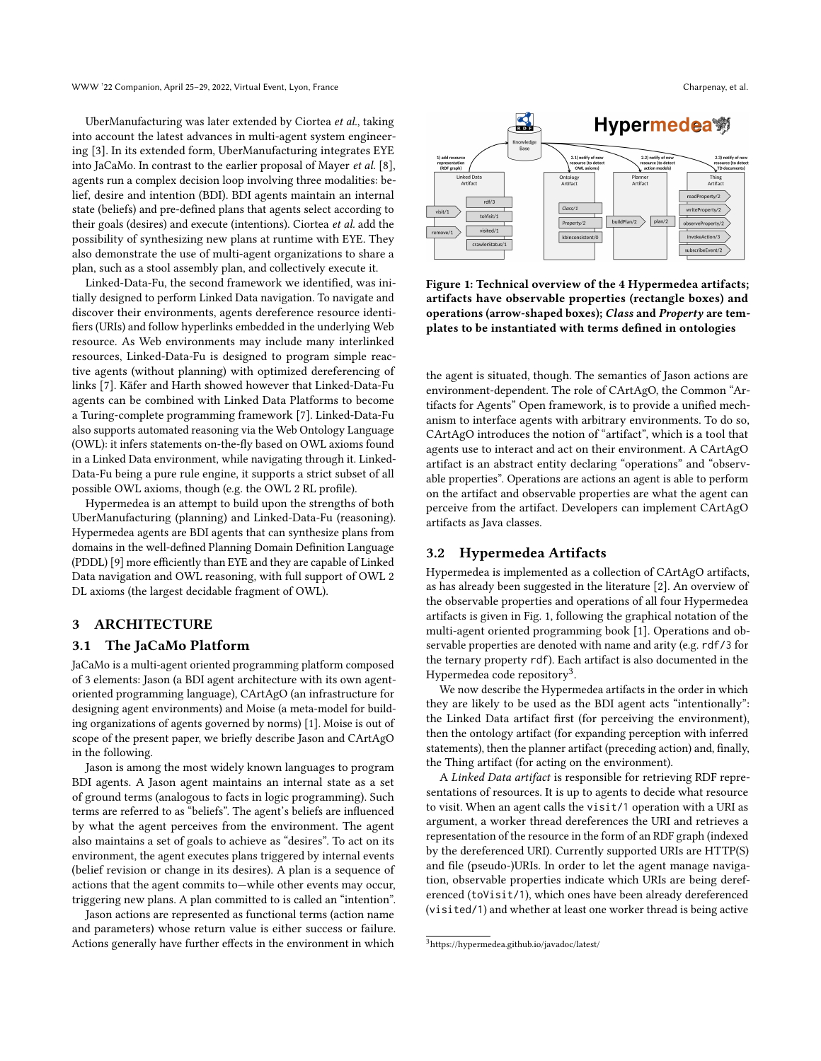UberManufacturing was later extended by Ciortea et al., taking into account the latest advances in multi-agent system engineering [\[3\]](#page-3-5). In its extended form, UberManufacturing integrates EYE into JaCaMo. In contrast to the earlier proposal of Mayer et al. [\[8\]](#page-3-4), agents run a complex decision loop involving three modalities: belief, desire and intention (BDI). BDI agents maintain an internal state (beliefs) and pre-defined plans that agents select according to their goals (desires) and execute (intentions). Ciortea et al. add the possibility of synthesizing new plans at runtime with EYE. They also demonstrate the use of multi-agent organizations to share a plan, such as a stool assembly plan, and collectively execute it.

Linked-Data-Fu, the second framework we identified, was initially designed to perform Linked Data navigation. To navigate and discover their environments, agents dereference resource identifiers (URIs) and follow hyperlinks embedded in the underlying Web resource. As Web environments may include many interlinked resources, Linked-Data-Fu is designed to program simple reactive agents (without planning) with optimized dereferencing of links [\[7\]](#page-3-10). Käfer and Harth showed however that Linked-Data-Fu agents can be combined with [Linked Data Platforms](https://www.w3.org/TR/ldp/) to become a Turing-complete programming framework [\[7\]](#page-3-10). Linked-Data-Fu also supports automated reasoning via the Web Ontology Language (OWL): it infers statements on-the-fly based on OWL axioms found in a Linked Data environment, while navigating through it. Linked-Data-Fu being a pure rule engine, it supports a strict subset of all possible OWL axioms, though (e.g. the [OWL 2 RL profile\)](http://www.w3.org/TR/2012/REC-owl2-profiles-20121211/).

Hypermedea is an attempt to build upon the strengths of both UberManufacturing (planning) and Linked-Data-Fu (reasoning). Hypermedea agents are BDI agents that can synthesize plans from domains in the well-defined Planning Domain Definition Language (PDDL) [\[9\]](#page-3-11) more efficiently than EYE and they are capable of Linked Data navigation and OWL reasoning, with full support of OWL 2 DL axioms (the largest decidable fragment of OWL).

## 3 ARCHITECTURE

#### 3.1 The JaCaMo Platform

JaCaMo is a multi-agent oriented programming platform composed of 3 elements: Jason (a BDI agent architecture with its own agentoriented programming language), CArtAgO (an infrastructure for designing agent environments) and Moise (a meta-model for building organizations of agents governed by norms) [\[1\]](#page-3-2). Moise is out of scope of the present paper, we briefly describe Jason and CArtAgO in the following.

Jason is among the most widely known languages to program BDI agents. A Jason agent maintains an internal state as a set of ground terms (analogous to facts in logic programming). Such terms are referred to as "beliefs". The agent's beliefs are influenced by what the agent perceives from the environment. The agent also maintains a set of goals to achieve as "desires". To act on its environment, the agent executes plans triggered by internal events (belief revision or change in its desires). A plan is a sequence of actions that the agent commits to—while other events may occur, triggering new plans. A plan committed to is called an "intention".

Jason actions are represented as functional terms (action name and parameters) whose return value is either success or failure. Actions generally have further effects in the environment in which

<span id="page-1-0"></span>

Figure 1: Technical overview of the 4 Hypermedea artifacts; artifacts have observable properties (rectangle boxes) and operations (arrow-shaped boxes); Class and Property are templates to be instantiated with terms defined in ontologies

the agent is situated, though. The semantics of Jason actions are environment-dependent. The role of CArtAgO, the Common "Artifacts for Agents" Open framework, is to provide a unified mechanism to interface agents with arbitrary environments. To do so, CArtAgO introduces the notion of "artifact", which is a tool that agents use to interact and act on their environment. A CArtAgO artifact is an abstract entity declaring "operations" and "observable properties". Operations are actions an agent is able to perform on the artifact and observable properties are what the agent can perceive from the artifact. Developers can implement CArtAgO artifacts as Java classes.

# 3.2 Hypermedea Artifacts

Hypermedea is implemented as a collection of CArtAgO artifacts, as has already been suggested in the literature [\[2\]](#page-3-3). An overview of the observable properties and operations of all four Hypermedea artifacts is given in Fig. [1,](#page-1-0) following the graphical notation of the multi-agent oriented programming book [\[1\]](#page-3-2). Operations and observable properties are denoted with name and arity (e.g. rdf/3 for the ternary property rdf). Each artifact is also documented in the Hypermedea code repository<sup>[3](#page-1-1)</sup>.

We now describe the Hypermedea artifacts in the order in which they are likely to be used as the BDI agent acts "intentionally": the Linked Data artifact first (for perceiving the environment), then the ontology artifact (for expanding perception with inferred statements), then the planner artifact (preceding action) and, finally, the Thing artifact (for acting on the environment).

A Linked Data artifact is responsible for retrieving RDF representations of resources. It is up to agents to decide what resource to visit. When an agent calls the visit/1 operation with a URI as argument, a worker thread dereferences the URI and retrieves a representation of the resource in the form of an RDF graph (indexed by the dereferenced URI). Currently supported URIs are HTTP(S) and file (pseudo-)URIs. In order to let the agent manage navigation, observable properties indicate which URIs are being dereferenced (toVisit/1), which ones have been already dereferenced (visited/1) and whether at least one worker thread is being active

<span id="page-1-1"></span><sup>3</sup><https://hypermedea.github.io/javadoc/latest/>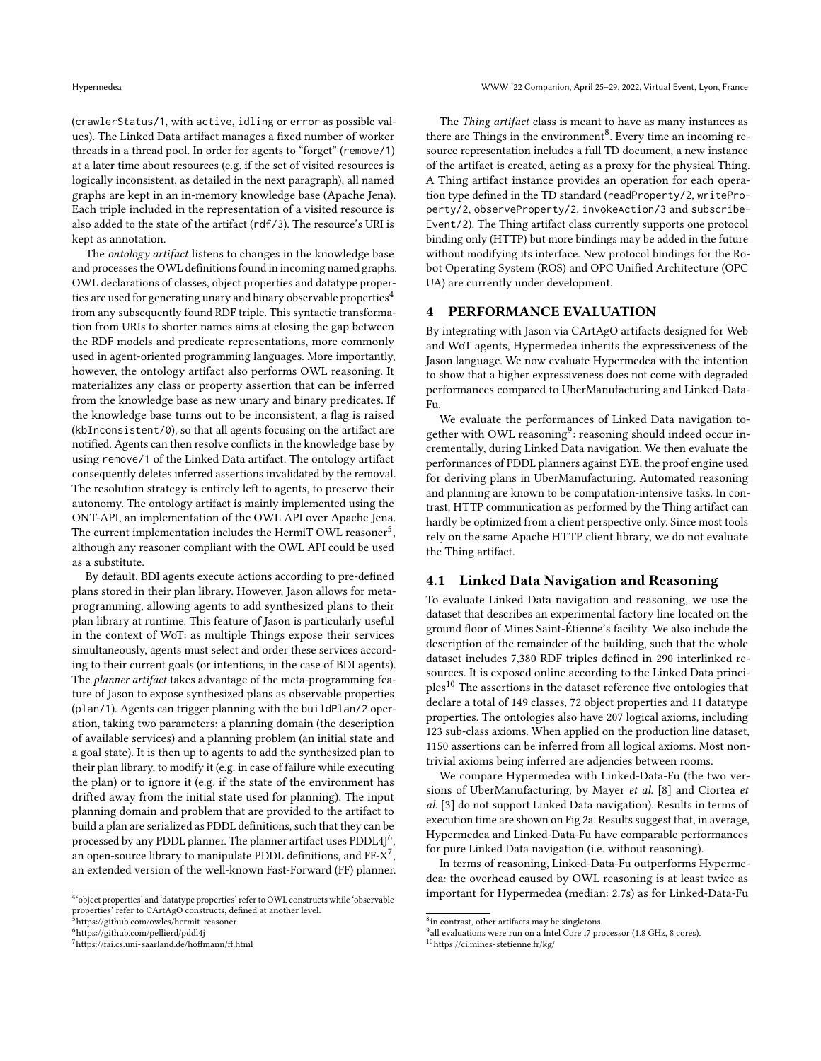(crawlerStatus/1, with active, idling or error as possible values). The Linked Data artifact manages a fixed number of worker threads in a thread pool. In order for agents to "forget" (remove/1) at a later time about resources (e.g. if the set of visited resources is logically inconsistent, as detailed in the next paragraph), all named graphs are kept in an in-memory knowledge base [\(Apache Jena\)](https://jena.apache.org/). Each triple included in the representation of a visited resource is also added to the state of the artifact (rdf/3). The resource's URI is kept as annotation.

The *ontology artifact* listens to changes in the knowledge base and processes the OWL definitions found in incoming named graphs. OWL declarations of classes, object properties and datatype proper-ties are used for generating unary and binary observable properties<sup>[4](#page-2-1)</sup> from any subsequently found RDF triple. This syntactic transformation from URIs to shorter names aims at closing the gap between the RDF models and predicate representations, more commonly used in agent-oriented programming languages. More importantly, however, the ontology artifact also performs OWL reasoning. It materializes any class or property assertion that can be inferred from the knowledge base as new unary and binary predicates. If the knowledge base turns out to be inconsistent, a flag is raised (kbInconsistent/0), so that all agents focusing on the artifact are notified. Agents can then resolve conflicts in the knowledge base by using remove/1 of the Linked Data artifact. The ontology artifact consequently deletes inferred assertions invalidated by the removal. The resolution strategy is entirely left to agents, to preserve their autonomy. The ontology artifact is mainly implemented using the [ONT-API,](https://github.com/owlcs/ont-api/wiki) an implementation of the OWL API over Apache Jena. The current implementation includes the HermiT OWL reasoner<sup>[5](#page-2-2)</sup>, although any reasoner compliant with the OWL API could be used as a substitute.

By default, BDI agents execute actions according to pre-defined plans stored in their plan library. However, Jason allows for metaprogramming, allowing agents to add synthesized plans to their plan library at runtime. This feature of Jason is particularly useful in the context of WoT: as multiple Things expose their services simultaneously, agents must select and order these services according to their current goals (or intentions, in the case of BDI agents). The *planner artifact* takes advantage of the meta-programming feature of Jason to expose synthesized plans as observable properties (plan/1). Agents can trigger planning with the buildPlan/2 operation, taking two parameters: a planning domain (the description of available services) and a planning problem (an initial state and a goal state). It is then up to agents to add the synthesized plan to their plan library, to modify it (e.g. in case of failure while executing the plan) or to ignore it (e.g. if the state of the environment has drifted away from the initial state used for planning). The input planning domain and problem that are provided to the artifact to build a plan are serialized as PDDL definitions, such that they can be processed by any PDDL planner. The planner artifact uses  $\mathrm{PDDL4J}^6,$  $\mathrm{PDDL4J}^6,$  $\mathrm{PDDL4J}^6,$ an open-source library to manipulate PDDL definitions, and  $FF-X^7$  $FF-X^7$ , an extended version of the well-known Fast-Forward (FF) planner.

<span id="page-2-2"></span><sup>5</sup><https://github.com/owlcs/hermit-reasoner>

<span id="page-2-4"></span><sup>7</sup><https://fai.cs.uni-saarland.de/hoffmann/ff.html>

The Thing artifact class is meant to have as many instances as there are Things in the environment $^8$  $^8$ . Every time an incoming resource representation includes a full TD document, a new instance of the artifact is created, acting as a proxy for the physical Thing. A Thing artifact instance provides an operation for each operation type defined in the TD standard (readProperty/2, writeProperty/2, observeProperty/2, invokeAction/3 and subscribe-Event/2). The Thing artifact class currently supports one protocol binding only (HTTP) but more bindings may be added in the future without modifying its interface. New protocol bindings for the Robot Operating System (ROS) and OPC Unified Architecture (OPC UA) are currently under development.

## <span id="page-2-0"></span>4 PERFORMANCE EVALUATION

By integrating with Jason via CArtAgO artifacts designed for Web and WoT agents, Hypermedea inherits the expressiveness of the Jason language. We now evaluate Hypermedea with the intention to show that a higher expressiveness does not come with degraded performances compared to UberManufacturing and Linked-Data-Fu.

We evaluate the performances of Linked Data navigation together with OWL reasoning $^9$  $^9$ : reasoning should indeed occur incrementally, during Linked Data navigation. We then evaluate the performances of PDDL planners against EYE, the proof engine used for deriving plans in UberManufacturing. Automated reasoning and planning are known to be computation-intensive tasks. In contrast, HTTP communication as performed by the Thing artifact can hardly be optimized from a client perspective only. Since most tools rely on the same Apache HTTP client library, we do not evaluate the Thing artifact.

# 4.1 Linked Data Navigation and Reasoning

To evaluate Linked Data navigation and reasoning, we use the dataset that describes an experimental factory line located on the ground floor of Mines Saint-Étienne's facility. We also include the description of the remainder of the building, such that the whole dataset includes 7,380 RDF triples defined in 290 interlinked resources. It is exposed online according to the Linked Data principles[10](#page-2-7) The assertions in the dataset reference five ontologies that declare a total of 149 classes, 72 object properties and 11 datatype properties. The ontologies also have 207 logical axioms, including 123 sub-class axioms. When applied on the production line dataset, 1150 assertions can be inferred from all logical axioms. Most nontrivial axioms being inferred are adjencies between rooms.

We compare Hypermedea with Linked-Data-Fu (the two versions of UberManufacturing, by Mayer et al. [\[8\]](#page-3-4) and Ciortea et al. [\[3\]](#page-3-5) do not support Linked Data navigation). Results in terms of execution time are shown on Fig [2a.](#page-3-12) Results suggest that, in average, Hypermedea and Linked-Data-Fu have comparable performances for pure Linked Data navigation (i.e. without reasoning).

In terms of reasoning, Linked-Data-Fu outperforms Hypermedea: the overhead caused by OWL reasoning is at least twice as important for Hypermedea (median: 2.7s) as for Linked-Data-Fu

<span id="page-2-1"></span><sup>&</sup>lt;sup>4</sup>'object properties' and 'datatype properties' refer to OWL constructs while 'observable properties' refer to CArtAgO constructs, defined at another level.

<span id="page-2-3"></span><sup>6</sup><https://github.com/pellierd/pddl4j>

<span id="page-2-5"></span><sup>8</sup> in contrast, other artifacts may be singletons.

<span id="page-2-6"></span><sup>&</sup>lt;sup>9</sup> all evaluations were run on a Intel Core i7 processor (1.8 GHz, 8 cores).

<span id="page-2-7"></span><sup>10</sup><https://ci.mines-stetienne.fr/kg/>